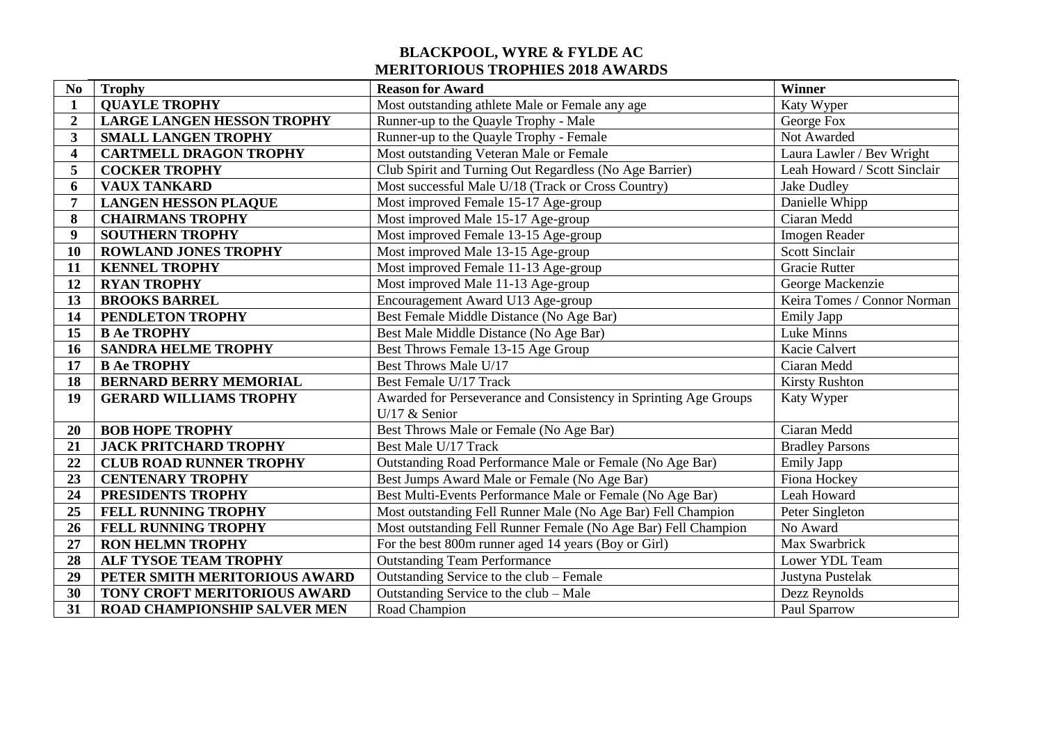## **BLACKPOOL, WYRE & FYLDE AC MERITORIOUS TROPHIES 2018 AWARDS**

| N <sub>0</sub>          | <b>Trophy</b>                       | <b>Reason for Award</b>                                          | Winner                       |
|-------------------------|-------------------------------------|------------------------------------------------------------------|------------------------------|
| 1                       | <b>QUAYLE TROPHY</b>                | Most outstanding athlete Male or Female any age                  | Katy Wyper                   |
| $\overline{2}$          | <b>LARGE LANGEN HESSON TROPHY</b>   | Runner-up to the Quayle Trophy - Male                            | George Fox                   |
| 3                       | <b>SMALL LANGEN TROPHY</b>          | Runner-up to the Quayle Trophy - Female                          | Not Awarded                  |
| $\overline{\mathbf{4}}$ | <b>CARTMELL DRAGON TROPHY</b>       | Most outstanding Veteran Male or Female                          | Laura Lawler / Bev Wright    |
| 5                       | <b>COCKER TROPHY</b>                | Club Spirit and Turning Out Regardless (No Age Barrier)          | Leah Howard / Scott Sinclair |
| 6                       | <b>VAUX TANKARD</b>                 | Most successful Male U/18 (Track or Cross Country)               | <b>Jake Dudley</b>           |
| 7                       | <b>LANGEN HESSON PLAQUE</b>         | Most improved Female 15-17 Age-group                             | Danielle Whipp               |
| 8                       | <b>CHAIRMANS TROPHY</b>             | Most improved Male 15-17 Age-group                               | Ciaran Medd                  |
| $\boldsymbol{9}$        | <b>SOUTHERN TROPHY</b>              | Most improved Female 13-15 Age-group                             | Imogen Reader                |
| 10                      | <b>ROWLAND JONES TROPHY</b>         | Most improved Male 13-15 Age-group                               | <b>Scott Sinclair</b>        |
| 11                      | <b>KENNEL TROPHY</b>                | Most improved Female 11-13 Age-group                             | <b>Gracie Rutter</b>         |
| 12                      | <b>RYAN TROPHY</b>                  | Most improved Male 11-13 Age-group                               | George Mackenzie             |
| 13                      | <b>BROOKS BARREL</b>                | Encouragement Award U13 Age-group                                | Keira Tomes / Connor Norman  |
| 14                      | PENDLETON TROPHY                    | Best Female Middle Distance (No Age Bar)                         | <b>Emily Japp</b>            |
| 15                      | <b>B Ae TROPHY</b>                  | Best Male Middle Distance (No Age Bar)                           | Luke Minns                   |
| 16                      | <b>SANDRA HELME TROPHY</b>          | Best Throws Female 13-15 Age Group                               | Kacie Calvert                |
| 17                      | <b>B Ae TROPHY</b>                  | Best Throws Male U/17                                            | Ciaran Medd                  |
| 18                      | <b>BERNARD BERRY MEMORIAL</b>       | Best Female U/17 Track                                           | <b>Kirsty Rushton</b>        |
| 19                      | <b>GERARD WILLIAMS TROPHY</b>       | Awarded for Perseverance and Consistency in Sprinting Age Groups | Katy Wyper                   |
|                         |                                     | U/17 $&$ Senior                                                  |                              |
| 20                      | <b>BOB HOPE TROPHY</b>              | Best Throws Male or Female (No Age Bar)                          | Ciaran Medd                  |
| 21                      | <b>JACK PRITCHARD TROPHY</b>        | Best Male U/17 Track                                             | <b>Bradley Parsons</b>       |
| 22                      | <b>CLUB ROAD RUNNER TROPHY</b>      | Outstanding Road Performance Male or Female (No Age Bar)         | <b>Emily Japp</b>            |
| 23                      | <b>CENTENARY TROPHY</b>             | Best Jumps Award Male or Female (No Age Bar)                     | Fiona Hockey                 |
| 24                      | PRESIDENTS TROPHY                   | Best Multi-Events Performance Male or Female (No Age Bar)        | Leah Howard                  |
| 25                      | FELL RUNNING TROPHY                 | Most outstanding Fell Runner Male (No Age Bar) Fell Champion     | Peter Singleton              |
| 26                      | FELL RUNNING TROPHY                 | Most outstanding Fell Runner Female (No Age Bar) Fell Champion   | No Award                     |
| 27                      | <b>RON HELMN TROPHY</b>             | For the best 800m runner aged 14 years (Boy or Girl)             | Max Swarbrick                |
| 28                      | ALF TYSOE TEAM TROPHY               | <b>Outstanding Team Performance</b>                              | Lower YDL Team               |
| 29                      | PETER SMITH MERITORIOUS AWARD       | Outstanding Service to the club - Female                         | Justyna Pustelak             |
| 30                      | TONY CROFT MERITORIOUS AWARD        | Outstanding Service to the club - Male                           | Dezz Reynolds                |
| 31                      | <b>ROAD CHAMPIONSHIP SALVER MEN</b> | Road Champion                                                    | Paul Sparrow                 |